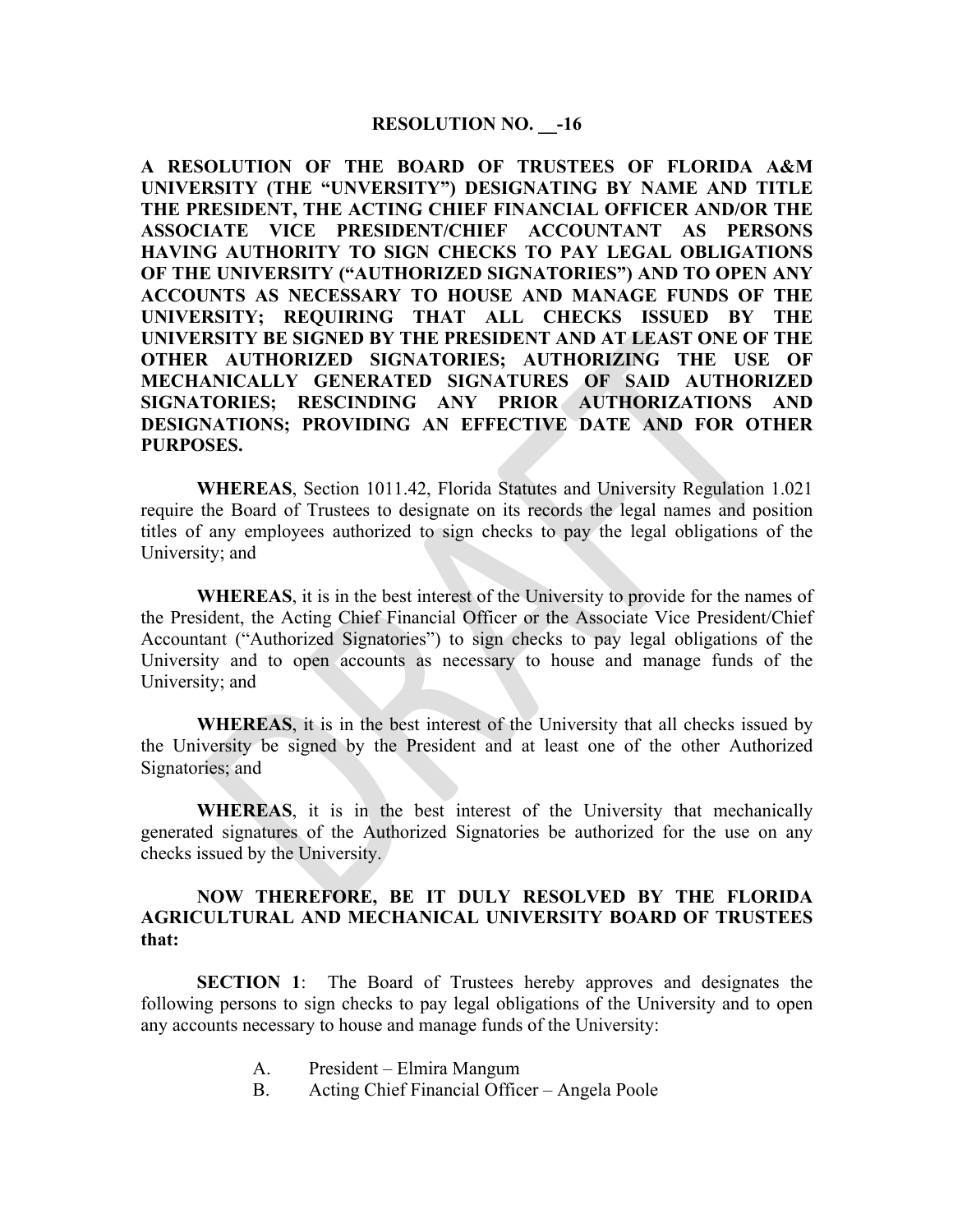## **RESOLUTION NO. \_\_-16**

**A RESOLUTION OF THE BOARD OF TRUSTEES OF FLORIDA A&M UNIVERSITY (THE "UNVERSITY") DESIGNATING BY NAME AND TITLE THE PRESIDENT, THE ACTING CHIEF FINANCIAL OFFICER AND/OR THE ASSOCIATE VICE PRESIDENT/CHIEF ACCOUNTANT AS PERSONS HAVING AUTHORITY TO SIGN CHECKS TO PAY LEGAL OBLIGATIONS OF THE UNIVERSITY ("AUTHORIZED SIGNATORIES") AND TO OPEN ANY ACCOUNTS AS NECESSARY TO HOUSE AND MANAGE FUNDS OF THE UNIVERSITY; REQUIRING THAT ALL CHECKS ISSUED BY THE UNIVERSITY BE SIGNED BY THE PRESIDENT AND AT LEAST ONE OF THE OTHER AUTHORIZED SIGNATORIES; AUTHORIZING THE USE OF MECHANICALLY GENERATED SIGNATURES OF SAID AUTHORIZED SIGNATORIES; RESCINDING ANY PRIOR AUTHORIZATIONS AND DESIGNATIONS; PROVIDING AN EFFECTIVE DATE AND FOR OTHER PURPOSES.** 

**WHEREAS**, Section 1011.42, Florida Statutes and University Regulation 1.021 require the Board of Trustees to designate on its records the legal names and position titles of any employees authorized to sign checks to pay the legal obligations of the University; and

**WHEREAS**, it is in the best interest of the University to provide for the names of the President, the Acting Chief Financial Officer or the Associate Vice President/Chief Accountant ("Authorized Signatories") to sign checks to pay legal obligations of the University and to open accounts as necessary to house and manage funds of the University; and

**WHEREAS**, it is in the best interest of the University that all checks issued by the University be signed by the President and at least one of the other Authorized Signatories; and

**WHEREAS**, it is in the best interest of the University that mechanically generated signatures of the Authorized Signatories be authorized for the use on any checks issued by the University.

## **NOW THEREFORE, BE IT DULY RESOLVED BY THE FLORIDA AGRICULTURAL AND MECHANICAL UNIVERSITY BOARD OF TRUSTEES that:**

**SECTION 1**: The Board of Trustees hereby approves and designates the following persons to sign checks to pay legal obligations of the University and to open any accounts necessary to house and manage funds of the University:

- A. President Elmira Mangum
- B. Acting Chief Financial Officer Angela Poole